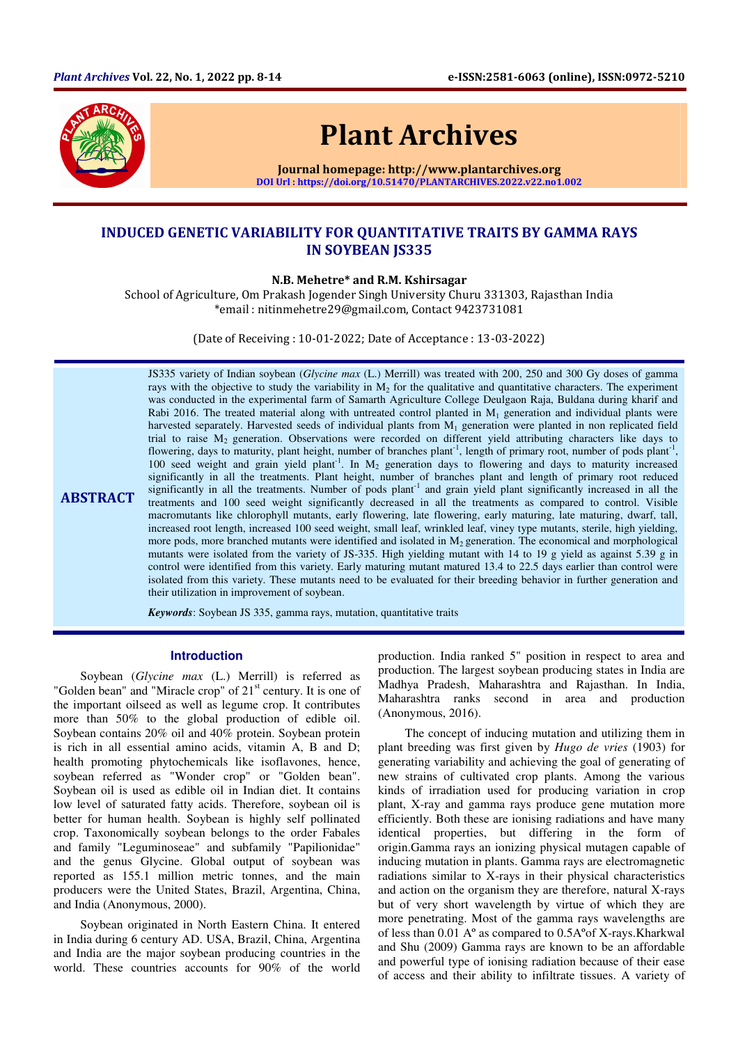

# Plant Archives

Journal homepage: http://www.plantarchives.org DOI Url : https://doi.org/10.51470/PLANTARCHIVES.2022.v22.no1.002

# INDUCED GENETIC VARIABILITY FOR QUANTITATIVE TRAITS BY GAMMA RAYS IN SOYBEAN JS335

## N.B. Mehetre\* and R.M. Kshirsagar

School of Agriculture, Om Prakash Jogender Singh University Churu 331303, Rajasthan India \*email : nitinmehetre29@gmail.com, Contact 9423731081

(Date of Receiving : 10-01-2022; Date of Acceptance : 13-03-2022)

**ABSTRACT** JS335 variety of Indian soybean (*Glycine max* (L.) Merrill) was treated with 200, 250 and 300 Gy doses of gamma rays with the objective to study the variability in  $M_2$  for the qualitative and quantitative characters. The experiment was conducted in the experimental farm of Samarth Agriculture College Deulgaon Raja, Buldana during kharif and Rabi 2016. The treated material along with untreated control planted in  $M_1$  generation and individual plants were harvested separately. Harvested seeds of individual plants from  $M_1$  generation were planted in non replicated field trial to raise  $M_2$  generation. Observations were recorded on different yield attributing characters like days to flowering, days to maturity, plant height, number of branches plant<sup>-1</sup>, length of primary root, number of pods plant<sup>-1</sup>, 100 seed weight and grain yield plant<sup>-1</sup>. In  $M_2$  generation days to flowering and days to maturity increased significantly in all the treatments. Plant height, number of branches plant and length of primary root reduced significantly in all the treatments. Number of pods plant<sup>-1</sup> and grain yield plant significantly increased in all the treatments and 100 seed weight significantly decreased in all the treatments as compared to control. Visible macromutants like chlorophyll mutants, early flowering, late flowering, early maturing, late maturing, dwarf, tall, increased root length, increased 100 seed weight, small leaf, wrinkled leaf, viney type mutants, sterile, high yielding, more pods, more branched mutants were identified and isolated in  $M_2$  generation. The economical and morphological mutants were isolated from the variety of JS-335. High yielding mutant with 14 to 19 g yield as against 5.39 g in control were identified from this variety. Early maturing mutant matured 13.4 to 22.5 days earlier than control were isolated from this variety. These mutants need to be evaluated for their breeding behavior in further generation and their utilization in improvement of soybean.

*Keywords*: Soybean JS 335, gamma rays, mutation, quantitative traits

#### **Introduction**

Soybean (*Glycine max* (L.) Merrill) is referred as "Golden bean" and "Miracle crop" of 21<sup>st</sup> century. It is one of the important oilseed as well as legume crop. It contributes more than 50% to the global production of edible oil. Soybean contains 20% oil and 40% protein. Soybean protein is rich in all essential amino acids, vitamin A, B and D; health promoting phytochemicals like isoflavones, hence, soybean referred as "Wonder crop" or "Golden bean". Soybean oil is used as edible oil in Indian diet. It contains low level of saturated fatty acids. Therefore, soybean oil is better for human health. Soybean is highly self pollinated crop. Taxonomically soybean belongs to the order Fabales and family "Leguminoseae" and subfamily "Papilionidae" and the genus Glycine. Global output of soybean was reported as 155.1 million metric tonnes, and the main producers were the United States, Brazil, Argentina, China, and India (Anonymous, 2000).

Soybean originated in North Eastern China. It entered in India during 6 century AD. USA, Brazil, China, Argentina and India are the major soybean producing countries in the world. These countries accounts for 90% of the world

production. India ranked 5" position in respect to area and production. The largest soybean producing states in India are Madhya Pradesh, Maharashtra and Rajasthan. In India, Maharashtra ranks second in area and production (Anonymous, 2016).

The concept of inducing mutation and utilizing them in plant breeding was first given by *Hugo de vries* (1903) for generating variability and achieving the goal of generating of new strains of cultivated crop plants. Among the various kinds of irradiation used for producing variation in crop plant, X-ray and gamma rays produce gene mutation more efficiently. Both these are ionising radiations and have many identical properties, but differing in the form of origin.Gamma rays an ionizing physical mutagen capable of inducing mutation in plants. Gamma rays are electromagnetic radiations similar to X-rays in their physical characteristics and action on the organism they are therefore, natural X-rays but of very short wavelength by virtue of which they are more penetrating. Most of the gamma rays wavelengths are of less than 0.01 Aº as compared to 0.5Aºof X-rays.Kharkwal and Shu (2009) Gamma rays are known to be an affordable and powerful type of ionising radiation because of their ease of access and their ability to infiltrate tissues. A variety of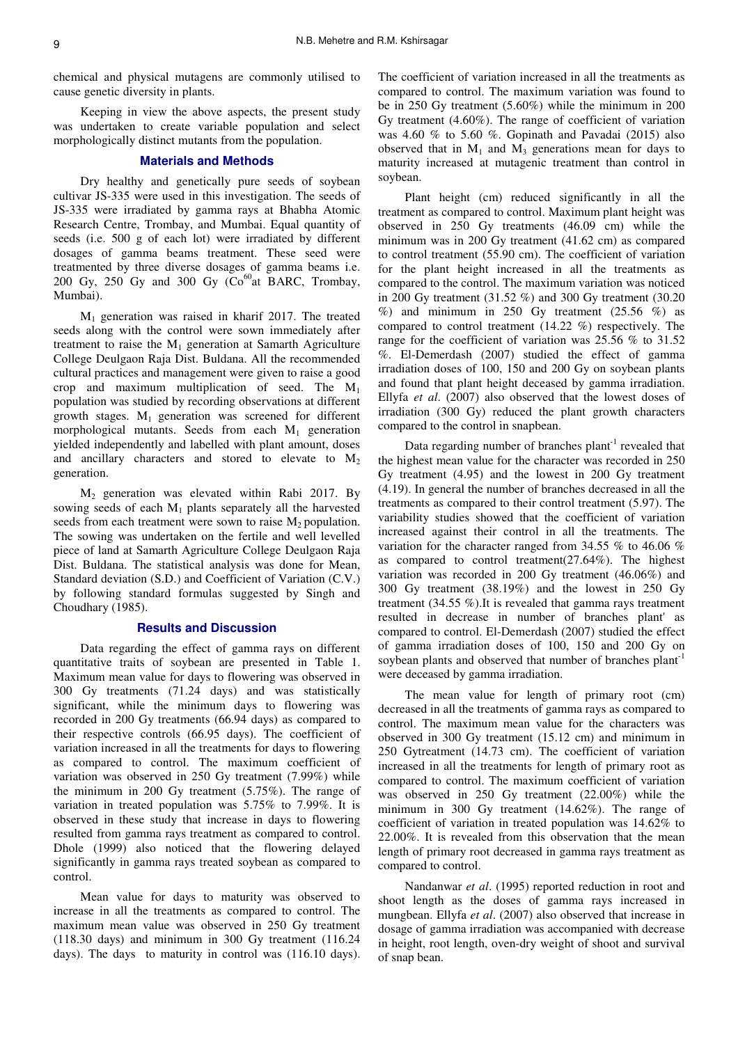chemical and physical mutagens are commonly utilised to cause genetic diversity in plants.

Keeping in view the above aspects, the present study was undertaken to create variable population and select morphologically distinct mutants from the population.

## **Materials and Methods**

Dry healthy and genetically pure seeds of soybean cultivar JS-335 were used in this investigation. The seeds of JS-335 were irradiated by gamma rays at Bhabha Atomic Research Centre, Trombay, and Mumbai. Equal quantity of seeds (i.e. 500 g of each lot) were irradiated by different dosages of gamma beams treatment. These seed were treatmented by three diverse dosages of gamma beams i.e. 200 Gy, 250 Gy and 300 Gy  $(Co^{60}at$  BARC, Trombay, Mumbai).

 $M_1$  generation was raised in kharif 2017. The treated seeds along with the control were sown immediately after treatment to raise the  $M_1$  generation at Samarth Agriculture College Deulgaon Raja Dist. Buldana. All the recommended cultural practices and management were given to raise a good crop and maximum multiplication of seed. The  $M_1$ population was studied by recording observations at different growth stages.  $M_1$  generation was screened for different morphological mutants. Seeds from each  $M_1$  generation yielded independently and labelled with plant amount, doses and ancillary characters and stored to elevate to  $M_2$ generation.

M2 generation was elevated within Rabi 2017. By sowing seeds of each  $M_1$  plants separately all the harvested seeds from each treatment were sown to raise  $M_2$  population. The sowing was undertaken on the fertile and well levelled piece of land at Samarth Agriculture College Deulgaon Raja Dist. Buldana. The statistical analysis was done for Mean, Standard deviation (S.D.) and Coefficient of Variation (C.V.) by following standard formulas suggested by Singh and Choudhary (1985).

### **Results and Discussion**

Data regarding the effect of gamma rays on different quantitative traits of soybean are presented in Table 1. Maximum mean value for days to flowering was observed in 300 Gy treatments (71.24 days) and was statistically significant, while the minimum days to flowering was recorded in 200 Gy treatments (66.94 days) as compared to their respective controls (66.95 days). The coefficient of variation increased in all the treatments for days to flowering as compared to control. The maximum coefficient of variation was observed in 250 Gy treatment (7.99%) while the minimum in 200 Gy treatment (5.75%). The range of variation in treated population was 5.75% to 7.99%. It is observed in these study that increase in days to flowering resulted from gamma rays treatment as compared to control. Dhole (1999) also noticed that the flowering delayed significantly in gamma rays treated soybean as compared to control.

Mean value for days to maturity was observed to increase in all the treatments as compared to control. The maximum mean value was observed in 250 Gy treatment (118.30 days) and minimum in 300 Gy treatment (116.24 days). The days to maturity in control was (116.10 days). The coefficient of variation increased in all the treatments as compared to control. The maximum variation was found to be in 250 Gy treatment (5.60%) while the minimum in 200 Gy treatment (4.60%). The range of coefficient of variation was 4.60  $%$  to 5.60  $%$ . Gopinath and Pavadai (2015) also observed that in  $M_1$  and  $M_3$  generations mean for days to maturity increased at mutagenic treatment than control in soybean.

Plant height (cm) reduced significantly in all the treatment as compared to control. Maximum plant height was observed in 250 Gy treatments (46.09 cm) while the minimum was in 200 Gy treatment (41.62 cm) as compared to control treatment (55.90 cm). The coefficient of variation for the plant height increased in all the treatments as compared to the control. The maximum variation was noticed in 200 Gy treatment (31.52 %) and 300 Gy treatment (30.20 %) and minimum in 250 Gy treatment (25.56 %) as compared to control treatment (14.22 %) respectively. The range for the coefficient of variation was 25.56 % to 31.52 %. El-Demerdash (2007) studied the effect of gamma irradiation doses of 100, 150 and 200 Gy on soybean plants and found that plant height deceased by gamma irradiation. Ellyfa *et al*. (2007) also observed that the lowest doses of irradiation (300 Gy) reduced the plant growth characters compared to the control in snapbean.

Data regarding number of branches plant<sup>-1</sup> revealed that the highest mean value for the character was recorded in 250 Gy treatment (4.95) and the lowest in 200 Gy treatment (4.19). In general the number of branches decreased in all the treatments as compared to their control treatment (5.97). The variability studies showed that the coefficient of variation increased against their control in all the treatments. The variation for the character ranged from 34.55 % to 46.06 % as compared to control treatment(27.64%). The highest variation was recorded in 200 Gy treatment (46.06%) and 300 Gy treatment (38.19%) and the lowest in 250 Gy treatment (34.55 %).It is revealed that gamma rays treatment resulted in decrease in number of branches plant' as compared to control. El-Demerdash (2007) studied the effect of gamma irradiation doses of 100, 150 and 200 Gy on soybean plants and observed that number of branches plant<sup>-1</sup> were deceased by gamma irradiation.

The mean value for length of primary root (cm) decreased in all the treatments of gamma rays as compared to control. The maximum mean value for the characters was observed in 300 Gy treatment (15.12 cm) and minimum in 250 Gytreatment (14.73 cm). The coefficient of variation increased in all the treatments for length of primary root as compared to control. The maximum coefficient of variation was observed in 250 Gy treatment (22.00%) while the minimum in 300 Gy treatment (14.62%). The range of coefficient of variation in treated population was 14.62% to 22.00%. It is revealed from this observation that the mean length of primary root decreased in gamma rays treatment as compared to control.

Nandanwar *et al*. (1995) reported reduction in root and shoot length as the doses of gamma rays increased in mungbean. Ellyfa *et al*. (2007) also observed that increase in dosage of gamma irradiation was accompanied with decrease in height, root length, oven-dry weight of shoot and survival of snap bean.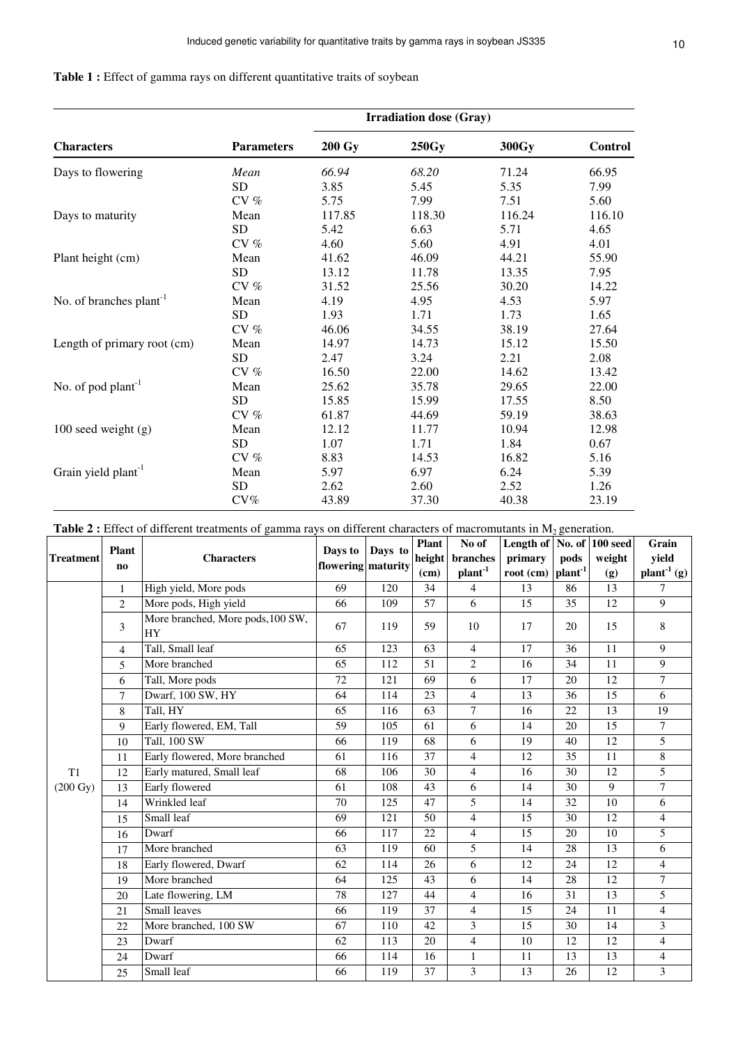|                                     | <b>Irradiation dose (Gray)</b> |               |        |              |                |  |  |  |  |
|-------------------------------------|--------------------------------|---------------|--------|--------------|----------------|--|--|--|--|
| <b>Characters</b>                   | <b>Parameters</b>              | <b>200 Gy</b> | 250Gy  | <b>300Gy</b> | <b>Control</b> |  |  |  |  |
| Days to flowering                   | Mean                           | 66.94         | 68.20  | 71.24        | 66.95          |  |  |  |  |
|                                     | <b>SD</b>                      | 3.85          | 5.45   | 5.35         | 7.99           |  |  |  |  |
|                                     | $CV \%$                        | 5.75          | 7.99   | 7.51         | 5.60           |  |  |  |  |
| Days to maturity                    | Mean                           | 117.85        | 118.30 | 116.24       | 116.10         |  |  |  |  |
|                                     | <b>SD</b>                      | 5.42          | 6.63   | 5.71         | 4.65           |  |  |  |  |
|                                     | $CV \%$                        | 4.60          | 5.60   | 4.91         | 4.01           |  |  |  |  |
| Plant height (cm)                   | Mean                           | 41.62         | 46.09  | 44.21        | 55.90          |  |  |  |  |
|                                     | <b>SD</b>                      | 13.12         | 11.78  | 13.35        | 7.95           |  |  |  |  |
|                                     | $CV \%$                        | 31.52         | 25.56  | 30.20        | 14.22          |  |  |  |  |
| No. of branches plant <sup>-1</sup> | Mean                           | 4.19          | 4.95   | 4.53         | 5.97           |  |  |  |  |
|                                     | <b>SD</b>                      | 1.93          | 1.71   | 1.73         | 1.65           |  |  |  |  |
|                                     | $CV \%$                        | 46.06         | 34.55  | 38.19        | 27.64          |  |  |  |  |
| Length of primary root (cm)         | Mean                           | 14.97         | 14.73  | 15.12        | 15.50          |  |  |  |  |
|                                     | <b>SD</b>                      | 2.47          | 3.24   | 2.21         | 2.08           |  |  |  |  |
|                                     | $CV \%$                        | 16.50         | 22.00  | 14.62        | 13.42          |  |  |  |  |
| No. of pod $plant^{-1}$             | Mean                           | 25.62         | 35.78  | 29.65        | 22.00          |  |  |  |  |
|                                     | <b>SD</b>                      | 15.85         | 15.99  | 17.55        | 8.50           |  |  |  |  |
|                                     | $CV \%$                        | 61.87         | 44.69  | 59.19        | 38.63          |  |  |  |  |
| $100$ seed weight $(g)$             | Mean                           | 12.12         | 11.77  | 10.94        | 12.98          |  |  |  |  |
|                                     | <b>SD</b>                      | 1.07          | 1.71   | 1.84         | 0.67           |  |  |  |  |
|                                     | $CV \%$                        | 8.83          | 14.53  | 16.82        | 5.16           |  |  |  |  |
| Grain yield plant <sup>-1</sup>     | Mean                           | 5.97          | 6.97   | 6.24         | 5.39           |  |  |  |  |
|                                     | <b>SD</b>                      | 2.62          | 2.60   | 2.52         | 1.26           |  |  |  |  |
|                                     | CV%                            | 43.89         | 37.30  | 40.38        | 23.19          |  |  |  |  |

# Table 1 : Effect of gamma rays on different quantitative traits of soybean

**Table 2 :** Effect of different treatments of gamma rays on different characters of macromutants in M<sub>2</sub> generation.

| <b>Treatment</b>   | <b>Plant</b><br>$\mathbf{n}\mathbf{o}$ | <b>Tubic # •</b> Effect of ufficient treatments of gamma rays on ufficient enaracters of macromatants in 147 generation.<br><b>Characters</b> | Days to            | Days to | <b>Plant</b> | No of          | Length of No. of 100 seed |                 |                 | Grain                             |
|--------------------|----------------------------------------|-----------------------------------------------------------------------------------------------------------------------------------------------|--------------------|---------|--------------|----------------|---------------------------|-----------------|-----------------|-----------------------------------|
|                    |                                        |                                                                                                                                               |                    |         | height       | branches       | primary                   | pods            | weight          | yield                             |
|                    |                                        |                                                                                                                                               | flowering maturity |         | (cm)         | $plant^{-1}$   | root (cm) $ plant^{-1} $  |                 | (g)             | $\mathbf{plant}^{-1}(\mathbf{g})$ |
|                    | 1                                      | High yield, More pods                                                                                                                         | 69                 | 120     | 34           | $\overline{4}$ | 13                        | 86              | 13              | $\tau$                            |
|                    | $\overline{2}$                         | More pods, High yield                                                                                                                         | 66                 | 109     | 57           | $\overline{6}$ | 15                        | 35              | 12              | $\overline{9}$                    |
|                    | 3                                      | More branched, More pods, 100 SW,<br><b>HY</b>                                                                                                | 67                 | 119     | 59           | 10             | 17                        | 20              | 15              | 8                                 |
|                    | $\overline{4}$                         | Tall, Small leaf                                                                                                                              | $\overline{65}$    | 123     | 63           | $\overline{4}$ | 17                        | $\overline{36}$ | 11              | 9                                 |
|                    | 5                                      | More branched                                                                                                                                 | 65                 | 112     | 51           | $\overline{2}$ | 16                        | 34              | 11              | $\overline{9}$                    |
|                    | 6                                      | Tall, More pods                                                                                                                               | 72                 | 121     | 69           | 6              | 17                        | 20              | 12              | $\overline{7}$                    |
|                    | $\overline{7}$                         | Dwarf, 100 SW, HY                                                                                                                             | 64                 | 114     | 23           | $\overline{4}$ | 13                        | 36              | $\overline{15}$ | $\overline{6}$                    |
|                    | 8                                      | Tall, HY                                                                                                                                      | 65                 | 116     | 63           | $\overline{7}$ | 16                        | 22              | 13              | 19                                |
|                    | 9                                      | Early flowered, EM, Tall                                                                                                                      | 59                 | 105     | 61           | 6              | 14                        | 20              | 15              | $\overline{7}$                    |
|                    | 10                                     | Tall, 100 SW                                                                                                                                  | 66                 | 119     | 68           | 6              | 19                        | 40              | 12              | $\overline{5}$                    |
|                    | 11                                     | Early flowered, More branched                                                                                                                 | 61                 | 116     | 37           | $\overline{4}$ | 12                        | 35              | 11              | $\overline{8}$                    |
| T1                 | 12                                     | Early matured, Small leaf                                                                                                                     | 68                 | 106     | 30           | $\overline{4}$ | 16                        | 30              | $\overline{12}$ | $\overline{5}$                    |
| $(200 \text{ Gy})$ | 13                                     | Early flowered                                                                                                                                | 61                 | 108     | 43           | $\overline{6}$ | 14                        | 30              | 9               | $\overline{7}$                    |
|                    | 14                                     | Wrinkled leaf                                                                                                                                 | 70                 | 125     | 47           | 5              | 14                        | 32              | 10              | 6                                 |
|                    | 15                                     | Small leaf                                                                                                                                    | 69                 | 121     | 50           | $\overline{4}$ | 15                        | 30              | 12              | $\overline{4}$                    |
|                    | 16                                     | Dwarf                                                                                                                                         | 66                 | 117     | 22           | $\overline{4}$ | $\overline{15}$           | 20              | $\overline{10}$ | $\overline{5}$                    |
|                    | 17                                     | More branched                                                                                                                                 | 63                 | 119     | 60           | 5              | 14                        | 28              | 13              | $\sqrt{6}$                        |
|                    | 18                                     | Early flowered, Dwarf                                                                                                                         | 62                 | 114     | 26           | $\overline{6}$ | 12                        | 24              | 12              | $\overline{4}$                    |
|                    | 19                                     | More branched                                                                                                                                 | 64                 | 125     | 43           | $\overline{6}$ | $\overline{14}$           | 28              | $\overline{12}$ | $\overline{7}$                    |
|                    | 20                                     | Late flowering, LM                                                                                                                            | 78                 | 127     | 44           | $\overline{4}$ | 16                        | 31              | 13              | $\overline{5}$                    |
|                    | 21                                     | Small leaves                                                                                                                                  | 66                 | 119     | 37           | $\overline{4}$ | 15                        | 24              | 11              | $\overline{4}$                    |
|                    | 22                                     | More branched, 100 SW                                                                                                                         | 67                 | 110     | 42           | 3              | 15                        | 30              | 14              | 3                                 |
|                    | 23                                     | Dwarf                                                                                                                                         | 62                 | 113     | 20           | $\overline{4}$ | 10                        | 12              | 12              | $\overline{4}$                    |
|                    | 24                                     | Dwarf                                                                                                                                         | 66                 | 114     | 16           | $\mathbf{1}$   | 11                        | 13              | 13              | $\overline{4}$                    |
|                    | 25                                     | Small leaf                                                                                                                                    | 66                 | 119     | 37           | $\overline{3}$ | 13                        | 26              | 12              | $\overline{3}$                    |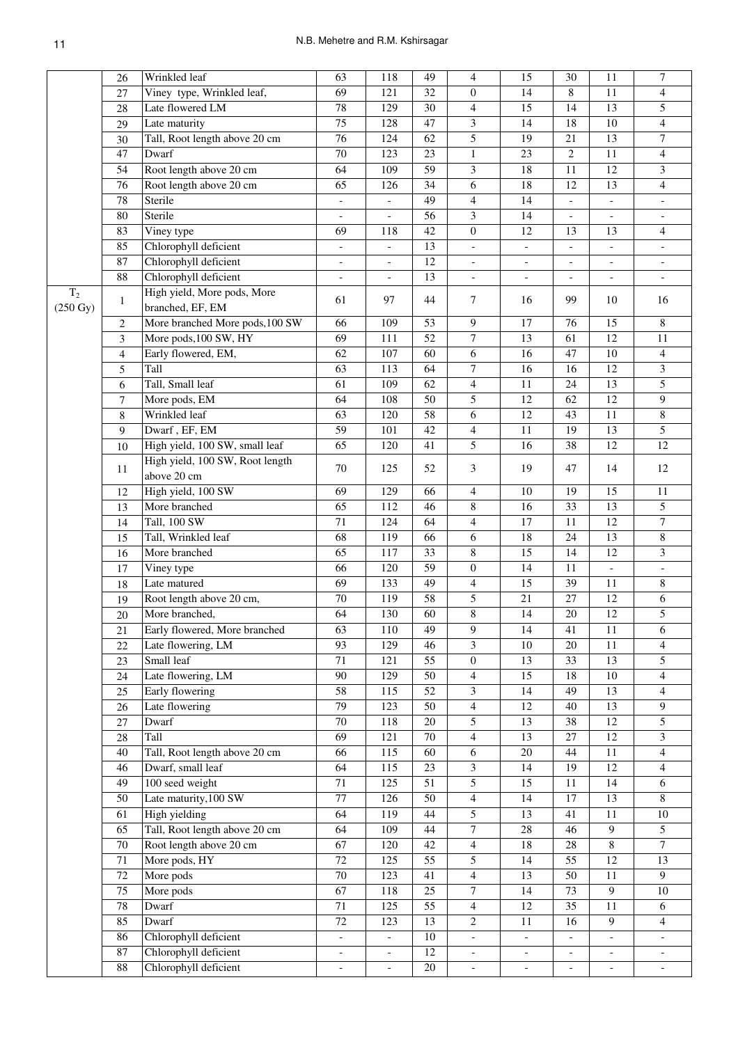|                    | 26             | Wrinkled leaf                    | 63                       | 118                      | 49              | 4                        | 15                   | 30                       | 11                       | 7                        |
|--------------------|----------------|----------------------------------|--------------------------|--------------------------|-----------------|--------------------------|----------------------|--------------------------|--------------------------|--------------------------|
|                    | 27             | Viney type, Wrinkled leaf,       | $\overline{69}$          | 121                      | 32              | $\mathbf{0}$             | $\overline{14}$      | 8                        | $\overline{11}$          | $\overline{4}$           |
|                    | 28             | Late flowered LM                 | 78                       | 129                      | 30              | $\overline{\mathbf{4}}$  | $\overline{15}$      | 14                       | $\overline{13}$          | $\overline{5}$           |
|                    | 29             | Late maturity                    | 75                       | 128                      | 47              | 3                        | 14                   | 18                       | 10                       | $\overline{4}$           |
|                    | 30             | Tall, Root length above 20 cm    | $\overline{76}$          | 124                      | 62              | 5                        | 19                   | 21                       | 13                       | $\boldsymbol{7}$         |
|                    | 47             | Dwarf                            | 70                       | 123                      | 23              | $\mathbf{1}$             | 23                   | $\overline{c}$           | 11                       | $\overline{4}$           |
|                    | 54             | Root length above 20 cm          | 64                       | 109                      | 59              | 3                        | 18                   | 11                       | 12                       | 3                        |
|                    | 76             | Root length above 20 cm          | 65                       | 126                      | 34              | 6                        | 18                   | 12                       | 13                       | $\overline{4}$           |
|                    | 78             | Sterile                          | $\blacksquare$           | $\overline{\phantom{a}}$ | 49              | 4                        | 14                   |                          | $\overline{\phantom{0}}$ |                          |
|                    | 80             | Sterile                          |                          | $\overline{a}$           | 56              | 3                        | 14                   |                          |                          | $\overline{a}$           |
|                    | 83             | Viney type                       | 69                       | 118                      | 42              | $\boldsymbol{0}$         | $\overline{12}$      | 13                       | 13                       | $\overline{4}$           |
|                    | 85             | Chlorophyll deficient            | $\blacksquare$           | $\blacksquare$           | 13              | $\frac{1}{2}$            | $\Box$               | $\overline{\phantom{a}}$ | $\frac{1}{2}$            | $\overline{\phantom{a}}$ |
|                    | 87             | Chlorophyll deficient            | $\Box$                   | $\frac{1}{2}$            | 12              | $\overline{\phantom{a}}$ | $\overline{a}$       | $\blacksquare$           | $\overline{a}$           |                          |
|                    | 88             | Chlorophyll deficient            |                          | $\frac{1}{2}$            | 13              | $\frac{1}{2}$            | $\overline{a}$       | $\blacksquare$           |                          |                          |
| $T_2$              |                | High yield, More pods, More      |                          |                          |                 |                          |                      |                          |                          |                          |
| $(250 \text{ Gy})$ | $\mathbf{1}$   | branched, EF, EM                 | 61                       | 97                       | 44              | 7                        | 16                   | 99                       | 10                       | 16                       |
|                    | $\overline{c}$ | More branched More pods, 100 SW  | 66                       | 109                      | $\overline{53}$ | 9                        | $\overline{17}$      | $\overline{76}$          | $\overline{15}$          | $\overline{8}$           |
|                    | 3              | More pods, 100 SW, HY            | $\overline{69}$          | $\overline{111}$         | 52              | 7                        | $\overline{13}$      | $\overline{61}$          | $\overline{12}$          | $\overline{11}$          |
|                    | $\overline{4}$ | Early flowered, EM,              | 62                       | 107                      | 60              | 6                        | 16                   | 47                       | $10\,$                   | $\overline{4}$           |
|                    | 5              | Tall                             | 63                       | 113                      | 64              | 7                        | 16                   | 16                       | 12                       | $\mathfrak{Z}$           |
|                    | 6              | Tall, Small leaf                 | 61                       | 109                      | 62              | $\overline{4}$           | 11                   | 24                       | $\overline{13}$          | $\overline{5}$           |
|                    | 7              | More pods, EM                    | 64                       | 108                      | 50              | 5                        | 12                   | 62                       | 12                       | $\overline{9}$           |
|                    | 8              | Wrinkled leaf                    | 63                       | 120                      | 58              | 6                        | 12                   | 43                       | 11                       | $\,8\,$                  |
|                    | 9              | Dwarf, EF, EM                    | 59                       | 101                      | 42              | 4                        | 11                   | 19                       | 13                       | $\mathfrak{S}$           |
|                    | 10             | High yield, 100 SW, small leaf   | 65                       | 120                      | 41              | 5                        | 16                   | 38                       | $\overline{12}$          | $\overline{12}$          |
|                    |                | High yield, 100 SW, Root length  |                          |                          |                 |                          |                      |                          |                          |                          |
|                    | 11             | above 20 cm                      | 70                       | 125                      | 52              | 3                        | 19                   | 47                       | 14                       | 12                       |
|                    | 12             | High yield, 100 SW               | $\overline{69}$          | 129                      | 66              | 4                        | $\overline{10}$      | $\overline{19}$          | $\overline{15}$          | $\overline{11}$          |
|                    | 13             | More branched                    | $\overline{65}$          | $\overline{112}$         | 46              | 8                        | $\overline{16}$      | $\overline{33}$          | $\overline{13}$          | $\overline{5}$           |
|                    | 14             | Tall, 100 SW                     | $71\,$                   | 124                      | 64              | $\overline{\mathcal{L}}$ | 17                   | 11                       | 12                       | $\overline{7}$           |
|                    | 15             | Tall, Wrinkled leaf              | 68                       | 119                      | 66              | 6                        | $\overline{18}$      | $\overline{24}$          | $\overline{13}$          | 8                        |
|                    | 16             | More branched                    | 65                       | 117                      | 33              | 8                        | 15                   | 14                       | 12                       | 3                        |
|                    | 17             | Viney type                       | 66                       | 120                      | $\overline{59}$ | $\boldsymbol{0}$         | $\overline{14}$      | 11                       |                          | $\overline{a}$           |
|                    | 18             | Late matured                     | $\overline{69}$          | 133                      | 49              | $\overline{\mathcal{L}}$ | $\overline{15}$      | $\overline{39}$          | $\overline{11}$          | $8\,$                    |
|                    | 19             | Root length above 20 cm,         | $\overline{70}$          | 119                      | 58              | 5                        | $\overline{21}$      | $\overline{27}$          | $\overline{12}$          | $\sqrt{6}$               |
|                    | 20             | More branched,                   | 64                       | 130                      | 60              | $\sqrt{8}$               | 14                   | 20                       | 12                       | 5                        |
|                    |                | Early flowered, More branched    | 63                       | 110                      | 49              | 9                        | $\overline{14}$      | 41                       | $\overline{11}$          | $\sqrt{6}$               |
|                    | 21             |                                  | 93                       | 129                      | 46              | 3                        |                      | $20\,$                   |                          | $\overline{4}$           |
|                    | 22             | Late flowering, LM<br>Small leaf | 71                       | 121                      | 55              | $\boldsymbol{0}$         | 10<br>13             | 33                       | 11<br>13                 | 5                        |
|                    | 23             |                                  |                          |                          |                 |                          |                      |                          |                          |                          |
|                    | 24             | Late flowering, LM               | 90                       | 129                      | 50              | 4                        | 15                   | 18                       | 10                       | 4                        |
|                    | 25             | Early flowering                  | 58                       | 115                      | 52              | 3                        | 14                   | 49                       | 13                       | $\overline{4}$           |
|                    | 26             | Late flowering                   | 79                       | 123                      | 50              | 4                        | 12                   | $40\,$                   | 13                       | 9                        |
|                    | 27             | Dwarf                            | 70                       | 118                      | $20\,$          | 5                        | 13                   | 38                       | 12                       | 5                        |
|                    | 28             | Tall                             | 69                       | 121                      | 70              | $\overline{\mathbf{4}}$  | 13                   | 27                       | $\overline{12}$          | $\overline{\mathbf{3}}$  |
|                    | 40             | Tall, Root length above 20 cm    | 66                       | 115                      | 60              | 6                        | $20\,$               | 44                       | 11                       | $\overline{4}$           |
|                    | 46             | Dwarf, small leaf                | 64                       | 115                      | 23              | 3                        | $\overline{14}$      | $\overline{19}$          | $\overline{12}$          | $\overline{4}$           |
|                    | 49             | 100 seed weight                  | 71                       | 125                      | 51              | 5                        | 15                   | 11                       | 14                       | 6                        |
|                    | 50             | Late maturity, 100 SW            | $\overline{77}$          | 126                      | 50              | $\overline{\mathbf{4}}$  | 14                   | $\overline{17}$          | $\overline{13}$          | $\overline{8}$           |
|                    | 61             | High yielding                    | 64                       | 119                      | 44              | 5                        | 13                   | 41                       | 11                       | $10\,$                   |
|                    | 65             | Tall, Root length above 20 cm    | 64                       | 109                      | 44              | $\boldsymbol{7}$         | $28\,$               | 46                       | $\overline{9}$           | 5                        |
|                    | 70             | Root length above 20 cm          | 67                       | 120                      | 42              | $\overline{4}$           | 18                   | $28\,$                   | $\overline{8}$           | $\overline{7}$           |
|                    | $71\,$         | More pods, HY                    | $72\,$                   | 125                      | 55              | 5                        | 14                   | 55                       | 12                       | 13                       |
|                    | $72\,$         | More pods                        | 70                       | 123                      | 41              | $\overline{4}$           | 13                   | 50                       | 11                       | 9                        |
|                    | 75             | More pods                        | 67                       | 118                      | 25              | $\boldsymbol{7}$         | 14                   | 73                       | 9                        | 10                       |
|                    | $78\,$         | Dwarf                            | 71                       | 125                      | 55              | 4                        | 12                   | $\overline{35}$          | 11                       | 6                        |
|                    | 85             | Dwarf                            | $72\,$                   | 123                      | 13              | 2                        | 11                   | 16                       | 9                        | $\overline{4}$           |
|                    | 86             | Chlorophyll deficient            | $\overline{\phantom{a}}$ | $\overline{\phantom{a}}$ | $10\,$          | $\blacksquare$           | $\qquad \qquad \Box$ |                          |                          |                          |
|                    | 87             | Chlorophyll deficient            | $\overline{\phantom{a}}$ | $\overline{a}$           | 12              | $\overline{\phantom{a}}$ | $\blacksquare$       | $\overline{\phantom{a}}$ |                          |                          |
|                    | 88             | Chlorophyll deficient            | $\overline{\phantom{a}}$ | $\overline{\phantom{a}}$ | $20\,$          | $\Box$                   | $\blacksquare$       | $\overline{\phantom{a}}$ | $\blacksquare$           | $\overline{\phantom{a}}$ |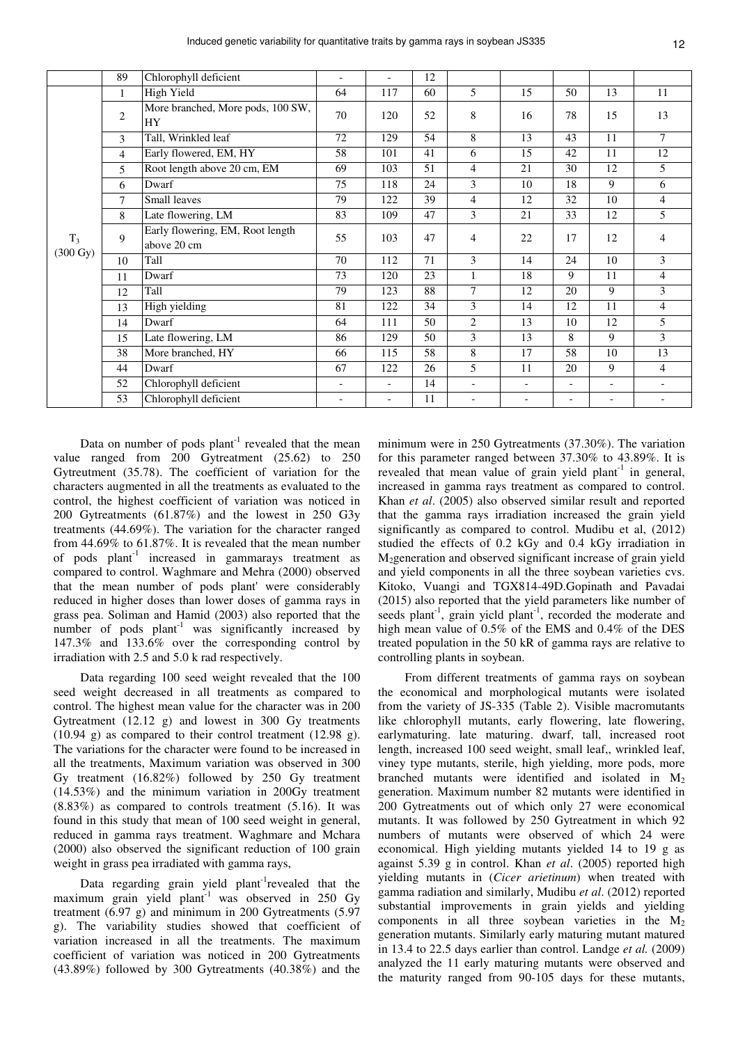|                    | 89             | Chlorophyll deficient                           | $\blacksquare$           | $\sim$                   | 12 |                          |                          |                          |                          |                          |
|--------------------|----------------|-------------------------------------------------|--------------------------|--------------------------|----|--------------------------|--------------------------|--------------------------|--------------------------|--------------------------|
|                    | $\mathbf{1}$   | High Yield                                      | 64                       | 117                      | 60 | 5                        | 15                       | 50                       | 13                       | 11                       |
|                    | $\overline{c}$ | More branched, More pods, 100 SW,<br><b>HY</b>  | 70                       | 120                      | 52 | 8                        | 16                       | 78                       | 15                       | 13                       |
|                    | $\mathcal{E}$  | Tall, Wrinkled leaf                             | 72                       | 129                      | 54 | 8                        | 13                       | 43                       | 11                       | $\tau$                   |
|                    | $\overline{4}$ | Early flowered, EM, HY                          | 58                       | 101                      | 41 | 6                        | 15                       | 42                       | 11                       | $\overline{12}$          |
|                    | 5              | Root length above 20 cm, EM                     | 69                       | 103                      | 51 | $\overline{4}$           | 21                       | 30                       | 12                       | 5                        |
|                    | 6              | Dwarf                                           | 75                       | 118                      | 24 | $\mathfrak{Z}$           | 10                       | 18                       | 9                        | 6                        |
|                    | $\tau$         | Small leaves                                    | 79                       | 122                      | 39 | $\overline{4}$           | 12                       | 32                       | 10                       | $\overline{4}$           |
| $T_3$              | 8              | Late flowering, LM                              | 83                       | 109                      | 47 | 3                        | 21                       | 33                       | 12                       | 5                        |
|                    | 9              | Early flowering, EM, Root length<br>above 20 cm | 55                       | 103                      | 47 | $\overline{4}$           | 22                       | 17                       | 12                       | $\overline{4}$           |
| $(300 \text{ Gy})$ | 10             | Tall                                            | 70                       | 112                      | 71 | 3                        | 14                       | 24                       | 10                       | $\overline{3}$           |
|                    | 11             | Dwarf                                           | 73                       | 120                      | 23 | $\mathbf{1}$             | 18                       | 9                        | 11                       | $\overline{4}$           |
|                    | 12             | Tall                                            | 79                       | 123                      | 88 | $\overline{7}$           | 12                       | 20                       | 9                        | $\mathfrak{Z}$           |
|                    | 13             | High yielding                                   | 81                       | 122                      | 34 | 3                        | 14                       | 12                       | 11                       | $\overline{4}$           |
|                    | 14             | Dwarf                                           | 64                       | 111                      | 50 | 2                        | 13                       | 10                       | 12                       | 5                        |
|                    | 15             | Late flowering, LM                              | 86                       | 129                      | 50 | 3                        | 13                       | 8                        | 9                        | 3                        |
|                    | 38             | More branched, HY                               | 66                       | 115                      | 58 | 8                        | 17                       | 58                       | 10                       | 13                       |
|                    | 44             | Dwarf                                           | 67                       | 122                      | 26 | 5                        | 11                       | 20                       | 9                        | $\overline{4}$           |
|                    | 52             | Chlorophyll deficient                           | $\overline{\phantom{a}}$ | $\overline{\phantom{a}}$ | 14 | $\overline{a}$           | $\overline{\phantom{a}}$ | $\overline{\phantom{a}}$ | $\overline{\phantom{a}}$ | $\overline{\phantom{a}}$ |
|                    | 53             | Chlorophyll deficient                           | $\overline{\phantom{a}}$ | $\overline{\phantom{a}}$ | 11 | $\overline{\phantom{a}}$ | $\overline{\phantom{a}}$ | $\overline{\phantom{a}}$ | $\overline{\phantom{a}}$ | $\overline{\phantom{a}}$ |

Data on number of pods  $plant^{-1}$  revealed that the mean value ranged from 200 Gytreatment (25.62) to 250 Gytreutment (35.78). The coefficient of variation for the characters augmented in all the treatments as evaluated to the control, the highest coefficient of variation was noticed in 200 Gytreatments (61.87%) and the lowest in 250 G3y treatments (44.69%). The variation for the character ranged from 44.69% to 61.87%. It is revealed that the mean number of pods plant<sup>-1</sup> increased in gammarays treatment as compared to control. Waghmare and Mehra (2000) observed that the mean number of pods plant' were considerably reduced in higher doses than lower doses of gamma rays in grass pea. Soliman and Hamid (2003) also reported that the number of pods  $plant^{-1}$  was significantly increased by 147.3% and 133.6% over the corresponding control by irradiation with 2.5 and 5.0 k rad respectively.

Data regarding 100 seed weight revealed that the 100 seed weight decreased in all treatments as compared to control. The highest mean value for the character was in 200 Gytreatment (12.12 g) and lowest in 300 Gy treatments (10.94 g) as compared to their control treatment (12.98 g). The variations for the character were found to be increased in all the treatments, Maximum variation was observed in 300 Gy treatment (16.82%) followed by 250 Gy treatment (14.53%) and the minimum variation in 200Gy treatment (8.83%) as compared to controls treatment (5.16). It was found in this study that mean of 100 seed weight in general, reduced in gamma rays treatment. Waghmare and Mchara (2000) also observed the significant reduction of 100 grain weight in grass pea irradiated with gamma rays,

Data regarding grain yield plant<sup>-1</sup>revealed that the maximum grain yield plant<sup>-1</sup> was observed in 250 Gy treatment (6.97 g) and minimum in 200 Gytreatments (5.97 g). The variability studies showed that coefficient of variation increased in all the treatments. The maximum coefficient of variation was noticed in 200 Gytreatments (43.89%) followed by 300 Gytreatments (40.38%) and the

minimum were in 250 Gytreatments (37.30%). The variation for this parameter ranged between 37.30% to 43.89%. It is revealed that mean value of grain yield plant<sup>-1</sup> in general, increased in gamma rays treatment as compared to control. Khan *et al*. (2005) also observed similar result and reported that the gamma rays irradiation increased the grain yield significantly as compared to control. Mudibu et al, (2012) studied the effects of 0.2 kGy and 0.4 kGy irradiation in M<sub>2</sub>generation and observed significant increase of grain yield and yield components in all the three soybean varieties cvs. Kitoko, Vuangi and TGX814-49D.Gopinath and Pavadai (2015) also reported that the yield parameters like number of seeds plant<sup>-1</sup>, grain yicld plant<sup>-1</sup>, recorded the moderate and high mean value of 0.5% of the EMS and 0.4% of the DES treated population in the 50 kR of gamma rays are relative to controlling plants in soybean.

From different treatments of gamma rays on soybean the economical and morphological mutants were isolated from the variety of JS-335 (Table 2). Visible macromutants like chlorophyll mutants, early flowering, late flowering, earlymaturing. late maturing. dwarf, tall, increased root length, increased 100 seed weight, small leaf,, wrinkled leaf, viney type mutants, sterile, high yielding, more pods, more branched mutants were identified and isolated in  $M_2$ generation. Maximum number 82 mutants were identified in 200 Gytreatments out of which only 27 were economical mutants. It was followed by 250 Gytreatment in which 92 numbers of mutants were observed of which 24 were economical. High yielding mutants yielded 14 to 19 g as against 5.39 g in control. Khan *et al*. (2005) reported high yielding mutants in (*Cicer arietinum*) when treated with gamma radiation and similarly, Mudibu *et al*. (2012) reported substantial improvements in grain yields and yielding components in all three soybean varieties in the  $M<sub>2</sub>$ generation mutants. Similarly early maturing mutant matured in 13.4 to 22.5 days earlier than control. Landge *et al.* (2009) analyzed the 11 early maturing mutants were observed and the maturity ranged from 90-105 days for these mutants,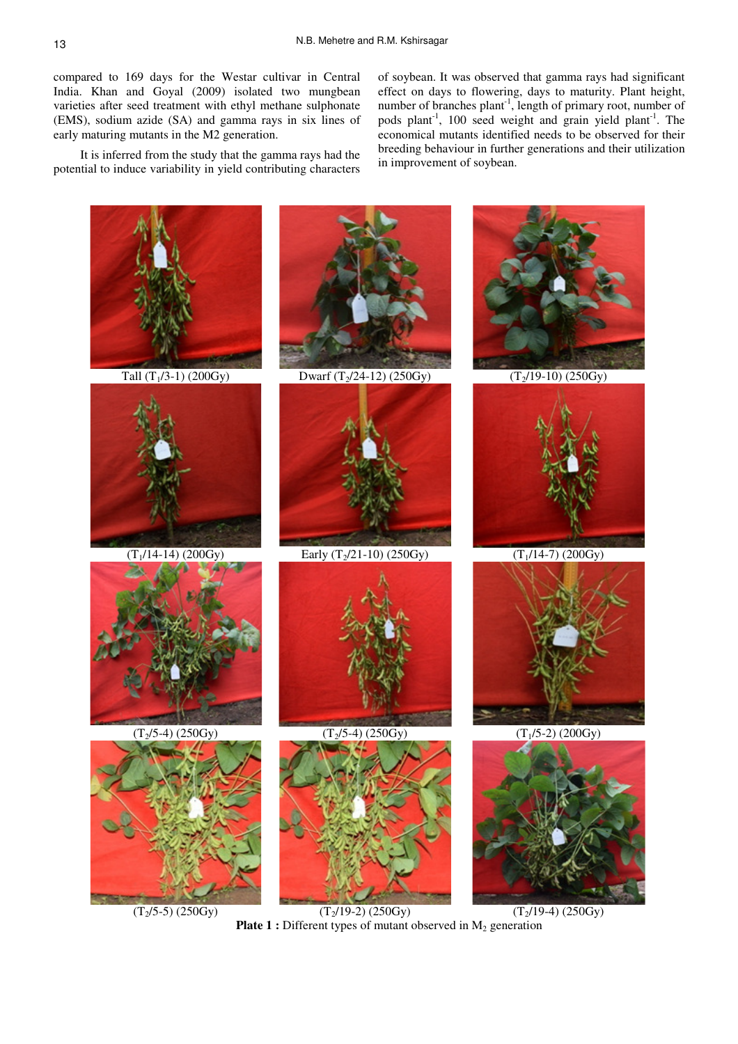compared to 169 days for the Westar cultivar in Central India. Khan and Goyal (2009) isolated two mungbean varieties after seed treatment with ethyl methane sulphonate (EMS), sodium azide (SA) and gamma rays in six lines of early maturing mutants in the M2 generation.

It is inferred from the study that the gamma rays had the potential to induce variability in yield contributing characters

of soybean. It was observed that gamma rays had significant effect on days to flowering, days to maturity. Plant height, number of branches plant<sup>-1</sup>, length of primary root, number of pods plant<sup>-1</sup>, 100 seed weight and grain yield plant<sup>-1</sup>. The economical mutants identified needs to be observed for their breeding behaviour in further generations and their utilization in improvement of soybean.



**Plate 1 :** Different types of mutant observed in M<sub>2</sub> generation